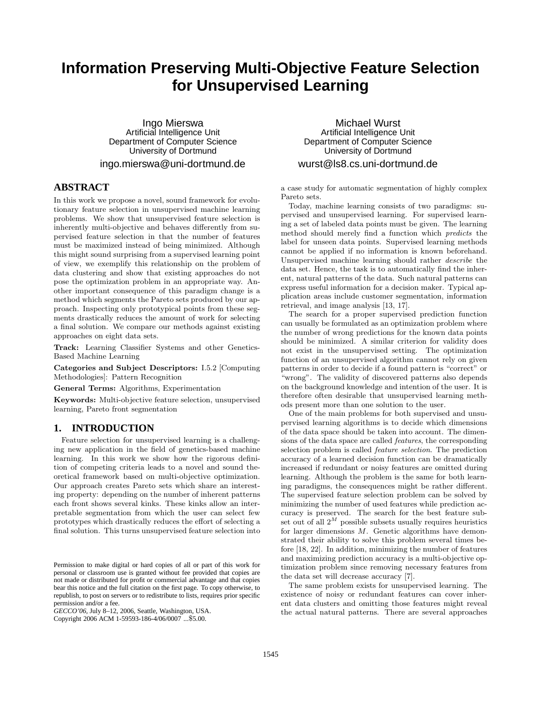# **Information Preserving Multi-Objective Feature Selection for Unsupervised Learning**

Ingo Mierswa Artificial Intelligence Unit Department of Computer Science University of Dortmund ingo.mierswa@uni-dortmund.de

# **ABSTRACT**

In this work we propose a novel, sound framework for evolutionary feature selection in unsupervised machine learning problems. We show that unsupervised feature selection is inherently multi-objective and behaves differently from supervised feature selection in that the number of features must be maximized instead of being minimized. Although this might sound surprising from a supervised learning point of view, we exemplify this relationship on the problem of data clustering and show that existing approaches do not pose the optimization problem in an appropriate way. Another important consequence of this paradigm change is a method which segments the Pareto sets produced by our approach. Inspecting only prototypical points from these segments drastically reduces the amount of work for selecting a final solution. We compare our methods against existing approaches on eight data sets.

Track: Learning Classifier Systems and other Genetics-Based Machine Learning

Categories and Subject Descriptors: I.5.2 [Computing Methodologies]: Pattern Recognition

General Terms: Algorithms, Experimentation

Keywords: Multi-objective feature selection, unsupervised learning, Pareto front segmentation

## **1. INTRODUCTION**

Feature selection for unsupervised learning is a challenging new application in the field of genetics-based machine learning. In this work we show how the rigorous definition of competing criteria leads to a novel and sound theoretical framework based on multi-objective optimization. Our approach creates Pareto sets which share an interesting property: depending on the number of inherent patterns each front shows several kinks. These kinks allow an interpretable segmentation from which the user can select few prototypes which drastically reduces the effort of selecting a final solution. This turns unsupervised feature selection into

Copyright 2006 ACM 1-59593-186-4/06/0007 ...\$5.00.

Michael Wurst Artificial Intelligence Unit Department of Computer Science University of Dortmund wurst@ls8.cs.uni-dortmund.de

a case study for automatic segmentation of highly complex Pareto sets.

Today, machine learning consists of two paradigms: supervised and unsupervised learning. For supervised learning a set of labeled data points must be given. The learning method should merely find a function which predicts the label for unseen data points. Supervised learning methods cannot be applied if no information is known beforehand. Unsupervised machine learning should rather describe the data set. Hence, the task is to automatically find the inherent, natural patterns of the data. Such natural patterns can express useful information for a decision maker. Typical application areas include customer segmentation, information retrieval, and image analysis [13, 17].

The search for a proper supervised prediction function can usually be formulated as an optimization problem where the number of wrong predictions for the known data points should be minimized. A similar criterion for validity does not exist in the unsupervised setting. The optimization function of an unsupervised algorithm cannot rely on given patterns in order to decide if a found pattern is "correct" or "wrong". The validity of discovered patterns also depends on the background knowledge and intention of the user. It is therefore often desirable that unsupervised learning methods present more than one solution to the user.

One of the main problems for both supervised and unsupervised learning algorithms is to decide which dimensions of the data space should be taken into account. The dimensions of the data space are called features, the corresponding selection problem is called feature selection. The prediction accuracy of a learned decision function can be dramatically increased if redundant or noisy features are omitted during learning. Although the problem is the same for both learning paradigms, the consequences might be rather different. The supervised feature selection problem can be solved by minimizing the number of used features while prediction accuracy is preserved. The search for the best feature subset out of all  $2^M$  possible subsets usually requires heuristics for larger dimensions M. Genetic algorithms have demonstrated their ability to solve this problem several times before [18, 22]. In addition, minimizing the number of features and maximizing prediction accuracy is a multi-objective optimization problem since removing necessary features from the data set will decrease accuracy [7].

The same problem exists for unsupervised learning. The existence of noisy or redundant features can cover inherent data clusters and omitting those features might reveal the actual natural patterns. There are several approaches

Permission to make digital or hard copies of all or part of this work for personal or classroom use is granted without fee provided that copies are not made or distributed for profit or commercial advantage and that copies bear this notice and the full citation on the first page. To copy otherwise, to republish, to post on servers or to redistribute to lists, requires prior specific permission and/or a fee.

*GECCO'06,* July 8–12, 2006, Seattle, Washington, USA.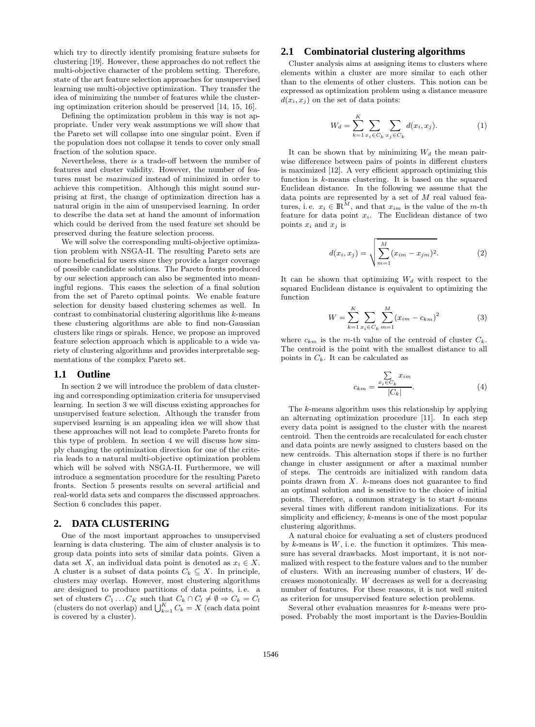which try to directly identify promising feature subsets for clustering [19]. However, these approaches do not reflect the multi-objective character of the problem setting. Therefore, state of the art feature selection approaches for unsupervised learning use multi-objective optimization. They transfer the idea of minimizing the number of features while the clustering optimization criterion should be preserved [14, 15, 16].

Defining the optimization problem in this way is not appropriate. Under very weak assumptions we will show that the Pareto set will collapse into one singular point. Even if the population does not collapse it tends to cover only small fraction of the solution space.

Nevertheless, there is a trade-off between the number of features and cluster validity. However, the number of features must be maximized instead of minimized in order to achieve this competition. Although this might sound surprising at first, the change of optimization direction has a natural origin in the aim of unsupervised learning. In order to describe the data set at hand the amount of information which could be derived from the used feature set should be preserved during the feature selection process.

We will solve the corresponding multi-objective optimization problem with NSGA-II. The resulting Pareto sets are more beneficial for users since they provide a larger coverage of possible candidate solutions. The Pareto fronts produced by our selection approach can also be segmented into meaningful regions. This eases the selection of a final solution from the set of Pareto optimal points. We enable feature selection for density based clustering schemes as well. In contrast to combinatorial clustering algorithms like k-means these clustering algorithms are able to find non-Gaussian clusters like rings or spirals. Hence, we propose an improved feature selection approach which is applicable to a wide variety of clustering algorithms and provides interpretable segmentations of the complex Pareto set.

#### **1.1 Outline**

In section 2 we will introduce the problem of data clustering and corresponding optimization criteria for unsupervised learning. In section 3 we will discuss existing approaches for unsupervised feature selection. Although the transfer from supervised learning is an appealing idea we will show that these approaches will not lead to complete Pareto fronts for this type of problem. In section 4 we will discuss how simply changing the optimization direction for one of the criteria leads to a natural multi-objective optimization problem which will be solved with NSGA-II. Furthermore, we will introduce a segmentation procedure for the resulting Pareto fronts. Section 5 presents results on several artificial and real-world data sets and compares the discussed approaches. Section 6 concludes this paper.

### **2. DATA CLUSTERING**

One of the most important approaches to unsupervised learning is data clustering. The aim of cluster analysis is to group data points into sets of similar data points. Given a data set X, an individual data point is denoted as  $x_i \in X$ . A cluster is a subset of data points  $C_k \subseteq X$ . In principle, clusters may overlap. However, most clustering algorithms are designed to produce partitions of data points, i. e. a set of clusters  $C_1 \dots C_K$  such that  $C_k \cap C_l \neq \emptyset \Rightarrow C_k = C_l$ (clusters do not overlap) and  $\bigcup_{k=1}^{K} C_k = X$  (each data point is covered by a cluster).

### **2.1 Combinatorial clustering algorithms**

Cluster analysis aims at assigning items to clusters where elements within a cluster are more similar to each other than to the elements of other clusters. This notion can be expressed as optimization problem using a distance measure  $d(x_i, x_j)$  on the set of data points:

$$
W_d = \sum_{k=1}^{K} \sum_{x_i \in C_k} \sum_{x_j \in C_k} d(x_i, x_j).
$$
 (1)

It can be shown that by minimizing  $W_d$  the mean pairwise difference between pairs of points in different clusters is maximized [12]. A very efficient approach optimizing this function is  $k$ -means clustering. It is based on the squared Euclidean distance. In the following we assume that the data points are represented by a set of  $M$  real valued features, i.e.  $x_i \in \mathbb{R}^M$ , and that  $x_{im}$  is the value of the *m*-th feature for data point  $x_i$ . The Euclidean distance of two points  $x_i$  and  $x_j$  is

$$
d(x_i, x_j) = \sqrt{\sum_{m=1}^{M} (x_{im} - x_{jm})^2}.
$$
 (2)

It can be shown that optimizing  $W_d$  with respect to the squared Euclidean distance is equivalent to optimizing the function

$$
W = \sum_{k=1}^{K} \sum_{x_i \in C_k} \sum_{m=1}^{M} (x_{im} - c_{km})^2
$$
 (3)

where  $c_{km}$  is the m-th value of the centroid of cluster  $C_k$ . The centroid is the point with the smallest distance to all points in  $C_k$ . It can be calculated as

$$
c_{km} = \frac{\sum\limits_{x_i \in C_k} x_{im}}{|C_k|}.\tag{4}
$$

The k-means algorithm uses this relationship by applying an alternating optimization procedure [11]. In each step every data point is assigned to the cluster with the nearest centroid. Then the centroids are recalculated for each cluster and data points are newly assigned to clusters based on the new centroids. This alternation stops if there is no further change in cluster assignment or after a maximal number of steps. The centroids are initialized with random data points drawn from  $X$ .  $k$ -means does not guarantee to find an optimal solution and is sensitive to the choice of initial points. Therefore, a common strategy is to start  $k$ -means several times with different random initializations. For its simplicity and efficiency,  $k$ -means is one of the most popular clustering algorithms.

A natural choice for evaluating a set of clusters produced by  $k$ -means is  $W$ , i.e. the function it optimizes. This measure has several drawbacks. Most important, it is not normalized with respect to the feature values and to the number of clusters. With an increasing number of clusters, W decreases monotonically. W decreases as well for a decreasing number of features. For these reasons, it is not well suited as criterion for unsupervised feature selection problems.

Several other evaluation measures for k-means were proposed. Probably the most important is the Davies-Bouldin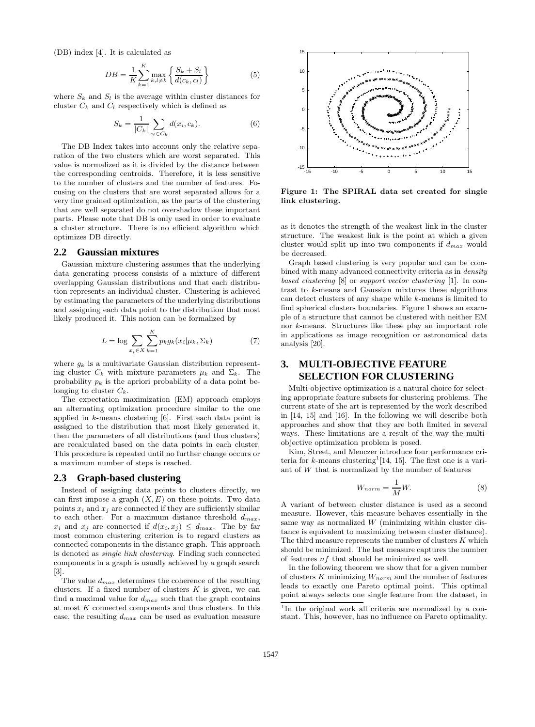(DB) index [4]. It is calculated as

$$
DB = \frac{1}{K} \sum_{k=1}^{K} \max_{k,l \neq k} \left\{ \frac{S_k + S_l}{d(c_k, c_l)} \right\}
$$
(5)

where  $S_k$  and  $S_l$  is the average within cluster distances for cluster  $C_k$  and  $C_l$  respectively which is defined as

$$
S_k = \frac{1}{|C_k|} \sum_{x_i \in C_k} d(x_i, c_k).
$$
 (6)

The DB Index takes into account only the relative separation of the two clusters which are worst separated. This value is normalized as it is divided by the distance between the corresponding centroids. Therefore, it is less sensitive to the number of clusters and the number of features. Focusing on the clusters that are worst separated allows for a very fine grained optimization, as the parts of the clustering that are well separated do not overshadow these important parts. Please note that DB is only used in order to evaluate a cluster structure. There is no efficient algorithm which optimizes DB directly.

#### **2.2 Gaussian mixtures**

Gaussian mixture clustering assumes that the underlying data generating process consists of a mixture of different overlapping Gaussian distributions and that each distribution represents an individual cluster. Clustering is achieved by estimating the parameters of the underlying distributions and assigning each data point to the distribution that most likely produced it. This notion can be formalized by

$$
L = \log \sum_{x_i \in X} \sum_{k=1}^{K} p_k g_k(x_i | \mu_k, \Sigma_k)
$$
 (7)

where  $g_k$  is a multivariate Gaussian distribution representing cluster  $C_k$  with mixture parameters  $\mu_k$  and  $\Sigma_k$ . The probability  $p_k$  is the apriori probability of a data point belonging to cluster  $C_k$ .

The expectation maximization (EM) approach employs an alternating optimization procedure similar to the one applied in k-means clustering [6]. First each data point is assigned to the distribution that most likely generated it, then the parameters of all distributions (and thus clusters) are recalculated based on the data points in each cluster. This procedure is repeated until no further change occurs or a maximum number of steps is reached.

### **2.3 Graph-based clustering**

Instead of assigning data points to clusters directly, we can first impose a graph  $(X, E)$  on these points. Two data points  $x_i$  and  $x_j$  are connected if they are sufficiently similar to each other. For a maximum distance threshold  $d_{max}$ ,  $x_i$  and  $x_j$  are connected if  $d(x_i, x_j) \leq d_{max}$ . The by far most common clustering criterion is to regard clusters as connected components in the distance graph. This approach is denoted as single link clustering. Finding such connected components in a graph is usually achieved by a graph search [3].

The value  $d_{max}$  determines the coherence of the resulting clusters. If a fixed number of clusters  $K$  is given, we can find a maximal value for  $d_{max}$  such that the graph contains at most  $K$  connected components and thus clusters. In this case, the resulting  $d_{max}$  can be used as evaluation measure



Figure 1: The SPIRAL data set created for single link clustering.

as it denotes the strength of the weakest link in the cluster structure. The weakest link is the point at which a given cluster would split up into two components if  $d_{max}$  would be decreased.

Graph based clustering is very popular and can be combined with many advanced connectivity criteria as in *density* based clustering [8] or support vector clustering [1]. In contrast to k-means and Gaussian mixtures these algorithms can detect clusters of any shape while k-means is limited to find spherical clusters boundaries. Figure 1 shows an example of a structure that cannot be clustered with neither EM nor k-means. Structures like these play an important role in applications as image recognition or astronomical data analysis [20].

# **3. MULTI-OBJECTIVE FEATURE SELECTION FOR CLUSTERING**

Multi-objective optimization is a natural choice for selecting appropriate feature subsets for clustering problems. The current state of the art is represented by the work described in [14, 15] and [16]. In the following we will describe both approaches and show that they are both limited in several ways. These limitations are a result of the way the multiobjective optimization problem is posed.

Kim, Street, and Menczer introduce four performance criteria for k-means clustering<sup>1</sup>[14, 15]. The first one is a variant of W that is normalized by the number of features

$$
W_{norm} = \frac{1}{M}W.\t\t(8)
$$

A variant of between cluster distance is used as a second measure. However, this measure behaves essentially in the same way as normalized  $W$  (minimizing within cluster distance is equivalent to maximizing between cluster distance). The third measure represents the number of clusters  $K$  which should be minimized. The last measure captures the number of features  $nf$  that should be minimized as well.

In the following theorem we show that for a given number of clusters  $K$  minimizing  $W_{norm}$  and the number of features leads to exactly one Pareto optimal point. This optimal point always selects one single feature from the dataset, in

<sup>&</sup>lt;sup>1</sup>In the original work all criteria are normalized by a constant. This, however, has no influence on Pareto optimality.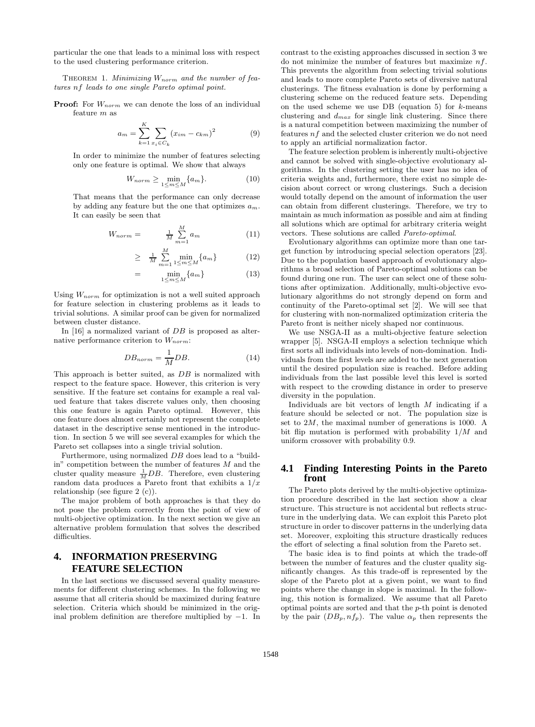particular the one that leads to a minimal loss with respect to the used clustering performance criterion.

THEOREM 1. Minimizing  $W_{norm}$  and the number of features nf leads to one single Pareto optimal point.

**Proof:** For  $W_{norm}$  we can denote the loss of an individual feature m as

$$
a_m = \sum_{k=1}^{K} \sum_{x_i \in C_k} (x_{im} - c_{km})^2
$$
 (9)

In order to minimize the number of features selecting only one feature is optimal. We show that always

$$
W_{norm} \ge \min_{1 \le m \le M} \{a_m\}.
$$
 (10)

That means that the performance can only decrease by adding any feature but the one that optimizes  $a_m$ . It can easily be seen that

$$
W_{norm} = \frac{1}{M} \sum_{m=1}^{M} a_m \tag{11}
$$

$$
\geq \frac{1}{M} \sum_{m=1}^{M} \min_{1 \leq m \leq M} \{a_m\} \tag{12}
$$

$$
= \min_{1 \le m \le M} \{a_m\} \tag{13}
$$

Using  $W_{norm}$  for optimization is not a well suited approach for feature selection in clustering problems as it leads to trivial solutions. A similar proof can be given for normalized between cluster distance.

In [16] a normalized variant of DB is proposed as alternative performance criterion to  $W_{norm}$ :

$$
DB_{norm} = \frac{1}{M} DB.
$$
 (14)

This approach is better suited, as DB is normalized with respect to the feature space. However, this criterion is very sensitive. If the feature set contains for example a real valued feature that takes discrete values only, then choosing this one feature is again Pareto optimal. However, this one feature does almost certainly not represent the complete dataset in the descriptive sense mentioned in the introduction. In section 5 we will see several examples for which the Pareto set collapses into a single trivial solution.

Furthermore, using normalized DB does lead to a "buildin" competition between the number of features  $M$  and the cluster quality measure  $\frac{1}{M}DB$ . Therefore, even clustering random data produces a Pareto front that exhibits a  $1/x$ relationship (see figure 2 (c)).

The major problem of both approaches is that they do not pose the problem correctly from the point of view of multi-objective optimization. In the next section we give an alternative problem formulation that solves the described difficulties.

# **4. INFORMATION PRESERVING FEATURE SELECTION**

In the last sections we discussed several quality measurements for different clustering schemes. In the following we assume that all criteria should be maximized during feature selection. Criteria which should be minimized in the original problem definition are therefore multiplied by −1. In contrast to the existing approaches discussed in section 3 we do not minimize the number of features but maximize  $nf$ . This prevents the algorithm from selecting trivial solutions and leads to more complete Pareto sets of diversive natural clusterings. The fitness evaluation is done by performing a clustering scheme on the reduced feature sets. Depending on the used scheme we use DB (equation 5) for  $k$ -means clustering and  $d_{max}$  for single link clustering. Since there is a natural competition between maximizing the number of features nf and the selected cluster criterion we do not need to apply an artificial normalization factor.

The feature selection problem is inherently multi-objective and cannot be solved with single-objective evolutionary algorithms. In the clustering setting the user has no idea of criteria weights and, furthermore, there exist no simple decision about correct or wrong clusterings. Such a decision would totally depend on the amount of information the user can obtain from different clusterings. Therefore, we try to maintain as much information as possible and aim at finding all solutions which are optimal for arbitrary criteria weight vectors. These solutions are called Pareto-optimal.

Evolutionary algorithms can optimize more than one target function by introducing special selection operators [23]. Due to the population based approach of evolutionary algorithms a broad selection of Pareto-optimal solutions can be found during one run. The user can select one of these solutions after optimization. Additionally, multi-objective evolutionary algorithms do not strongly depend on form and continuity of the Pareto-optimal set [2]. We will see that for clustering with non-normalized optimization criteria the Pareto front is neither nicely shaped nor continuous.

We use NSGA-II as a multi-objective feature selection wrapper [5]. NSGA-II employs a selection technique which first sorts all individuals into levels of non-domination. Individuals from the first levels are added to the next generation until the desired population size is reached. Before adding individuals from the last possible level this level is sorted with respect to the crowding distance in order to preserve diversity in the population.

Individuals are bit vectors of length M indicating if a feature should be selected or not. The population size is set to  $2M$ , the maximal number of generations is 1000. A bit flip mutation is performed with probability  $1/M$  and uniform crossover with probability 0.9.

### **4.1 Finding Interesting Points in the Pareto front**

The Pareto plots derived by the multi-objective optimization procedure described in the last section show a clear structure. This structure is not accidental but reflects structure in the underlying data. We can exploit this Pareto plot structure in order to discover patterns in the underlying data set. Moreover, exploiting this structure drastically reduces the effort of selecting a final solution from the Pareto set.

The basic idea is to find points at which the trade-off between the number of features and the cluster quality significantly changes. As this trade-off is represented by the slope of the Pareto plot at a given point, we want to find points where the change in slope is maximal. In the following, this notion is formalized. We assume that all Pareto optimal points are sorted and that the p-th point is denoted by the pair  $(DB_p, nf_p)$ . The value  $\alpha_p$  then represents the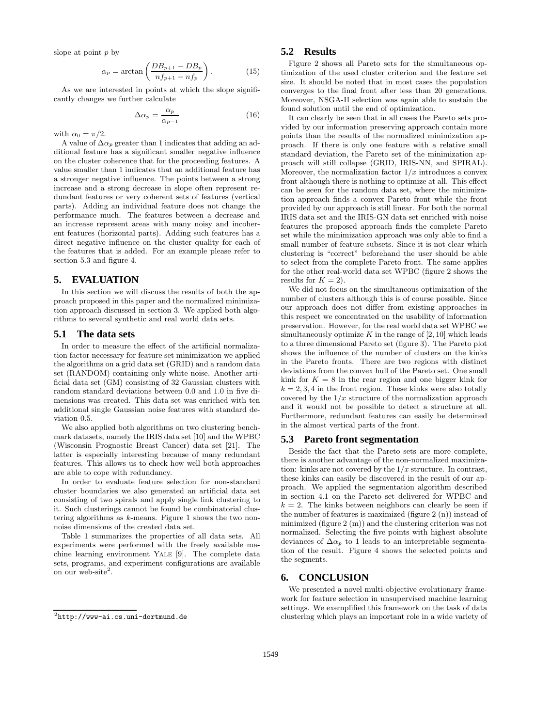slope at point  $p$  by

$$
\alpha_p = \arctan\left(\frac{DB_{p+1} - DB_p}{nf_{p+1} - nf_p}\right). \tag{15}
$$

As we are interested in points at which the slope significantly changes we further calculate

$$
\Delta \alpha_p = \frac{\alpha_p}{\alpha_{p-1}} \tag{16}
$$

with  $\alpha_0 = \pi/2$ .

A value of  $\Delta \alpha_p$  greater than 1 indicates that adding an additional feature has a significant smaller negative influence on the cluster coherence that for the proceeding features. A value smaller than 1 indicates that an additional feature has a stronger negative influence. The points between a strong increase and a strong decrease in slope often represent redundant features or very coherent sets of features (vertical parts). Adding an individual feature does not change the performance much. The features between a decrease and an increase represent areas with many noisy and incoherent features (horizontal parts). Adding such features has a direct negative influence on the cluster quality for each of the features that is added. For an example please refer to section 5.3 and figure 4.

### **5. EVALUATION**

In this section we will discuss the results of both the approach proposed in this paper and the normalized minimization approach discussed in section 3. We applied both algorithms to several synthetic and real world data sets.

#### **5.1 The data sets**

In order to measure the effect of the artificial normalization factor necessary for feature set minimization we applied the algorithms on a grid data set (GRID) and a random data set (RANDOM) containing only white noise. Another artificial data set (GM) consisting of 32 Gaussian clusters with random standard deviations between 0.0 and 1.0 in five dimensions was created. This data set was enriched with ten additional single Gaussian noise features with standard deviation 0.5.

We also applied both algorithms on two clustering benchmark datasets, namely the IRIS data set [10] and the WPBC (Wisconsin Prognostic Breast Cancer) data set [21]. The latter is especially interesting because of many redundant features. This allows us to check how well both approaches are able to cope with redundancy.

In order to evaluate feature selection for non-standard cluster boundaries we also generated an artificial data set consisting of two spirals and apply single link clustering to it. Such clusterings cannot be found be combinatorial clustering algorithms as  $k$ -means. Figure 1 shows the two nonnoise dimensions of the created data set.

Table 1 summarizes the properties of all data sets. All experiments were performed with the freely available machine learning environment Yale [9]. The complete data sets, programs, and experiment configurations are available on our web-site<sup>2</sup>.

### **5.2 Results**

Figure 2 shows all Pareto sets for the simultaneous optimization of the used cluster criterion and the feature set size. It should be noted that in most cases the population converges to the final front after less than 20 generations. Moreover, NSGA-II selection was again able to sustain the found solution until the end of optimization.

It can clearly be seen that in all cases the Pareto sets provided by our information preserving approach contain more points than the results of the normalized minimization approach. If there is only one feature with a relative small standard deviation, the Pareto set of the minimization approach will still collapse (GRID, IRIS-NN, and SPIRAL). Moreover, the normalization factor  $1/x$  introduces a convex front although there is nothing to optimize at all. This effect can be seen for the random data set, where the minimization approach finds a convex Pareto front while the front provided by our approach is still linear. For both the normal IRIS data set and the IRIS-GN data set enriched with noise features the proposed approach finds the complete Pareto set while the minimization approach was only able to find a small number of feature subsets. Since it is not clear which clustering is "correct" beforehand the user should be able to select from the complete Pareto front. The same applies for the other real-world data set WPBC (figure 2 shows the results for  $K = 2$ ).

We did not focus on the simultaneous optimization of the number of clusters although this is of course possible. Since our approach does not differ from existing approaches in this respect we concentrated on the usability of information preservation. However, for the real world data set WPBC we simultaneously optimize  $K$  in the range of  $[2, 10]$  which leads to a three dimensional Pareto set (figure 3). The Pareto plot shows the influence of the number of clusters on the kinks in the Pareto fronts. There are two regions with distinct deviations from the convex hull of the Pareto set. One small kink for  $K = 8$  in the rear region and one bigger kink for  $k = 2, 3, 4$  in the front region. These kinks were also totally covered by the  $1/x$  structure of the normalization approach and it would not be possible to detect a structure at all. Furthermore, redundant features can easily be determined in the almost vertical parts of the front.

### **5.3 Pareto front segmentation**

Beside the fact that the Pareto sets are more complete, there is another advantage of the non-normalized maximization: kinks are not covered by the  $1/x$  structure. In contrast, these kinks can easily be discovered in the result of our approach. We applied the segmentation algorithm described in section 4.1 on the Pareto set delivered for WPBC and  $k = 2$ . The kinks between neighbors can clearly be seen if the number of features is maximized (figure 2 (n)) instead of minimized (figure 2 (m)) and the clustering criterion was not normalized. Selecting the five points with highest absolute deviances of  $\Delta \alpha_p$  to 1 leads to an interpretable segmentation of the result. Figure 4 shows the selected points and the segments.

### **6. CONCLUSION**

We presented a novel multi-objective evolutionary framework for feature selection in unsupervised machine learning settings. We exemplified this framework on the task of data clustering which plays an important role in a wide variety of

 $^{2}$ http://www-ai.cs.uni-dortmund.de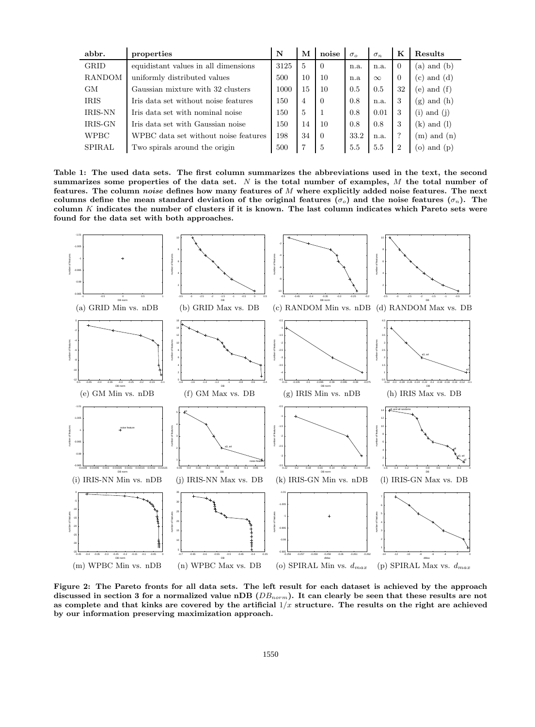| abbr.          | properties                           | N    | M              | noise         | $\sigma_{\alpha}$ | $\sigma_n$ | K        | Results         |
|----------------|--------------------------------------|------|----------------|---------------|-------------------|------------|----------|-----------------|
| <b>GRID</b>    | equidistant values in all dimensions | 3125 | 5              | $\Omega$      | n.a.              | n.a.       | $\Omega$ | $(a)$ and $(b)$ |
| RANDOM         | uniformly distributed values         | 500  | 10             | 10            | n.a               | $\infty$   | $\Omega$ | $(c)$ and $(d)$ |
| GМ             | Gaussian mixture with 32 clusters    | 1000 | 15             | 10            | 0.5               | 0.5        | 32       | $(e)$ and $(f)$ |
| <b>IRIS</b>    | Iris data set without noise features | 150  | $\overline{4}$ | $\Omega$      | 0.8               | n.a.       | 3        | $(g)$ and $(h)$ |
| <b>IRIS-NN</b> | Iris data set with nominal noise     | 150  | $\overline{5}$ |               | 0.8               | 0.01       | 3        | $(i)$ and $(j)$ |
| IRIS-GN        | Iris data set with Gaussian noise    | 150  | 14             | 10            | 0.8               | 0.8        | 3        | $(k)$ and $(l)$ |
| <b>WPBC</b>    | WPBC data set without noise features | 198  | 34             | $\Omega$      | 33.2              | n.a.       |          | $(m)$ and $(n)$ |
| SPIRAL         | Two spirals around the origin        | 500  | 7              | $\frac{5}{2}$ | 5.5               | 5.5        | 2        | $(o)$ and $(p)$ |

Table 1: The used data sets. The first column summarizes the abbreviations used in the text, the second summarizes some properties of the data set.  $N$  is the total number of examples,  $M$  the total number of features. The column noise defines how many features of  $M$  where explicitly added noise features. The next columns define the mean standard deviation of the original features ( $\sigma_o$ ) and the noise features ( $\sigma_n$ ). The column  $K$  indicates the number of clusters if it is known. The last column indicates which Pareto sets were found for the data set with both approaches.



Figure 2: The Pareto fronts for all data sets. The left result for each dataset is achieved by the approach discussed in section 3 for a normalized value nDB  $(DB_{norm})$ . It can clearly be seen that these results are not as complete and that kinks are covered by the artificial  $1/x$  structure. The results on the right are achieved by our information preserving maximization approach.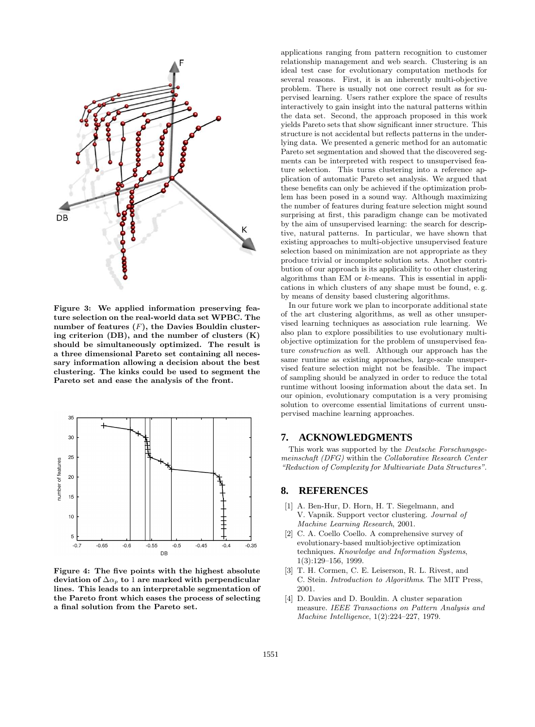

Figure 3: We applied information preserving feature selection on the real-world data set WPBC. The number of features  $(F)$ , the Davies Bouldin clustering criterion (DB), and the number of clusters (K) should be simultaneously optimized. The result is a three dimensional Pareto set containing all necessary information allowing a decision about the best clustering. The kinks could be used to segment the Pareto set and ease the analysis of the front.



Figure 4: The five points with the highest absolute deviation of  $\Delta a_p$  to 1 are marked with perpendicular lines. This leads to an interpretable segmentation of the Pareto front which eases the process of selecting a final solution from the Pareto set.

applications ranging from pattern recognition to customer relationship management and web search. Clustering is an ideal test case for evolutionary computation methods for several reasons. First, it is an inherently multi-objective problem. There is usually not one correct result as for supervised learning. Users rather explore the space of results interactively to gain insight into the natural patterns within the data set. Second, the approach proposed in this work yields Pareto sets that show significant inner structure. This structure is not accidental but reflects patterns in the underlying data. We presented a generic method for an automatic Pareto set segmentation and showed that the discovered segments can be interpreted with respect to unsupervised feature selection. This turns clustering into a reference application of automatic Pareto set analysis. We argued that these benefits can only be achieved if the optimization problem has been posed in a sound way. Although maximizing the number of features during feature selection might sound surprising at first, this paradigm change can be motivated by the aim of unsupervised learning: the search for descriptive, natural patterns. In particular, we have shown that existing approaches to multi-objective unsupervised feature selection based on minimization are not appropriate as they produce trivial or incomplete solution sets. Another contribution of our approach is its applicability to other clustering algorithms than EM or k-means. This is essential in applications in which clusters of any shape must be found, e. g. by means of density based clustering algorithms.

In our future work we plan to incorporate additional state of the art clustering algorithms, as well as other unsupervised learning techniques as association rule learning. We also plan to explore possibilities to use evolutionary multiobjective optimization for the problem of unsupervised feature construction as well. Although our approach has the same runtime as existing approaches, large-scale unsupervised feature selection might not be feasible. The impact of sampling should be analyzed in order to reduce the total runtime without loosing information about the data set. In our opinion, evolutionary computation is a very promising solution to overcome essential limitations of current unsupervised machine learning approaches.

### **7. ACKNOWLEDGMENTS**

This work was supported by the Deutsche Forschungsgemeinschaft (DFG) within the Collaborative Research Center "Reduction of Complexity for Multivariate Data Structures".

### **8. REFERENCES**

- [1] A. Ben-Hur, D. Horn, H. T. Siegelmann, and V. Vapnik. Support vector clustering. Journal of Machine Learning Research, 2001.
- [2] C. A. Coello Coello. A comprehensive survey of evolutionary-based multiobjective optimization techniques. Knowledge and Information Systems, 1(3):129–156, 1999.
- [3] T. H. Cormen, C. E. Leiserson, R. L. Rivest, and C. Stein. Introduction to Algorithms. The MIT Press, 2001.
- [4] D. Davies and D. Bouldin. A cluster separation measure. IEEE Transactions on Pattern Analysis and Machine Intelligence, 1(2):224–227, 1979.